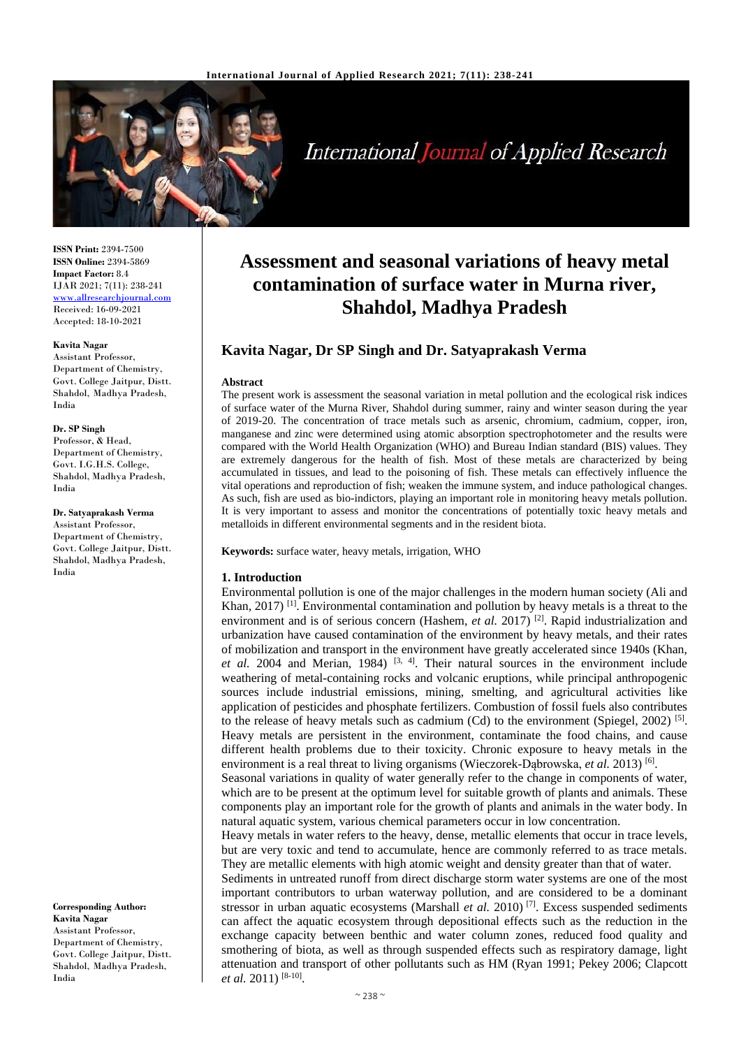

# International Journal of Applied Research

**ISSN Print:** 2394-7500 **ISSN Online:** 2394-5869 **Impact Factor:** 8.4 IJAR 2021; 7(11): 238-241 <www.allresearchjournal.com> Received: 16-09-2021 Accepted: 18-10-2021

#### **Kavita Nagar**

Assistant Professor, Department of Chemistry, Govt. College Jaitpur, Distt. Shahdol, Madhya Pradesh, India

#### **Dr. SP Singh**

Professor, & Head, Department of Chemistry, Govt. I.G.H.S. College, Shahdol, Madhya Pradesh, India

#### **Dr. Satyaprakash Verma**

Assistant Professor, Department of Chemistry, Govt. College Jaitpur, Distt. Shahdol, Madhya Pradesh, India

**Corresponding Author: Kavita Nagar** Assistant Professor, Department of Chemistry, Govt. College Jaitpur, Distt. Shahdol, Madhya Pradesh, India

## **Assessment and seasonal variations of heavy metal contamination of surface water in Murna river, Shahdol, Madhya Pradesh**

### **Kavita Nagar, Dr SP Singh and Dr. Satyaprakash Verma**

#### **Abstract**

The present work is assessment the seasonal variation in metal pollution and the ecological risk indices of surface water of the Murna River, Shahdol during summer, rainy and winter season during the year of 2019-20. The concentration of trace metals such as arsenic, chromium, cadmium, copper, iron, manganese and zinc were determined using atomic absorption spectrophotometer and the results were compared with the World Health Organization (WHO) and Bureau Indian standard (BIS) values. They are extremely dangerous for the health of fish. Most of these metals are characterized by being accumulated in tissues, and lead to the poisoning of fish. These metals can effectively influence the vital operations and reproduction of fish; weaken the immune system, and induce pathological changes. As such, fish are used as bio-indictors, playing an important role in monitoring heavy metals pollution. It is very important to assess and monitor the concentrations of potentially toxic heavy metals and metalloids in different environmental segments and in the resident biota.

#### **Keywords:** surface water, heavy metals, irrigation, WHO

#### **1. Introduction**

Environmental pollution is one of the major challenges in the modern human society (Ali and Khan, 2017)<sup>[1]</sup>. Environmental contamination and pollution by heavy metals is a threat to the environment and is of serious concern (Hashem, *et al.* 2017)<sup>[2]</sup>. Rapid industrialization and urbanization have caused contamination of the environment by heavy metals, and their rates of mobilization and transport in the environment have greatly accelerated since 1940s (Khan,  $et$  al. 2004 and Merian, 1984)<sup>[3, 4]</sup>. Their natural sources in the environment include weathering of metal-containing rocks and volcanic eruptions, while principal anthropogenic sources include industrial emissions, mining, smelting, and agricultural activities like application of pesticides and phosphate fertilizers. Combustion of fossil fuels also contributes to the release of heavy metals such as cadmium  $(Cd)$  to the environment (Spiegel, 2002)<sup>[5]</sup>. Heavy metals are persistent in the environment, contaminate the food chains, and cause different health problems due to their toxicity. Chronic exposure to heavy metals in the environment is a real threat to living organisms (Wieczorek-Dąbrowska, et al. 2013)<sup>[6]</sup>.

Seasonal variations in quality of water generally refer to the change in components of water, which are to be present at the optimum level for suitable growth of plants and animals. These components play an important role for the growth of plants and animals in the water body. In natural aquatic system, various chemical parameters occur in low concentration.

Heavy metals in water refers to the heavy, dense, metallic elements that occur in trace levels, but are very toxic and tend to accumulate, hence are commonly referred to as trace metals. They are metallic elements with high atomic weight and density greater than that of water.

Sediments in untreated runoff from direct discharge storm water systems are one of the most important contributors to urban waterway pollution, and are considered to be a dominant stressor in urban aquatic ecosystems (Marshall *et al.* 2010)<sup>[7]</sup>. Excess suspended sediments can affect the aquatic ecosystem through depositional effects such as the reduction in the exchange capacity between benthic and water column zones, reduced food quality and smothering of biota, as well as through suspended effects such as respiratory damage, light attenuation and transport of other pollutants such as HM (Ryan 1991; Pekey 2006; Clapcott et al. 2011)<sup>[8-10]</sup>.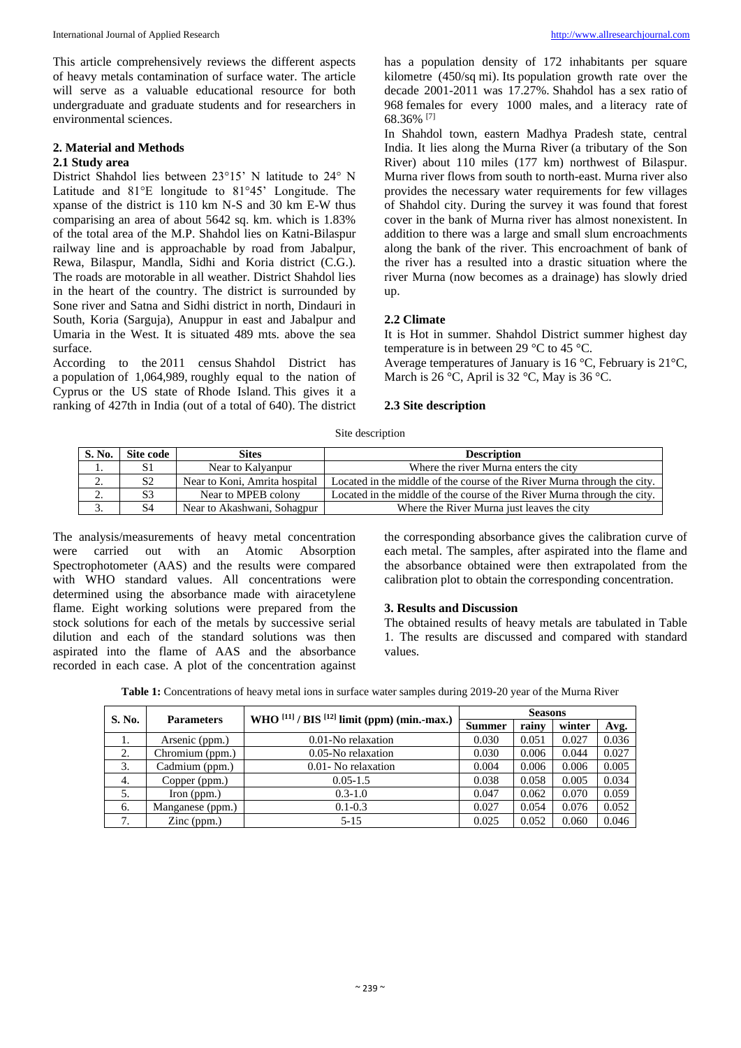This article comprehensively reviews the different aspects of heavy metals contamination of surface water. The article will serve as a valuable educational resource for both undergraduate and graduate students and for researchers in environmental sciences.

#### **2. Material and Methods 2.1 Study area**

District Shahdol lies between 23°15' N latitude to 24° N Latitude and 81°E longitude to 81°45' Longitude. The xpanse of the district is 110 km N-S and 30 km E-W thus comparising an area of about 5642 sq. km. which is 1.83% of the total area of the M.P. Shahdol lies on Katni-Bilaspur railway line and is approachable by road from Jabalpur, Rewa, Bilaspur, Mandla, Sidhi and Koria district (C.G.). The roads are motorable in all weather. District Shahdol lies in the heart of the country. The district is surrounded by Sone river and Satna and Sidhi district in north, Dindauri in South, Koria (Sarguja), Anuppur in east and Jabalpur and Umaria in the West. It is situated 489 mts. above the sea surface.

According to the 2011 census Shahdol District has a population of 1,064,989, roughly equal to the nation of Cyprus or the US state of Rhode Island. This gives it a ranking of 427th in India (out of a total of 640). The district has a population density of 172 inhabitants per square kilometre (450/sq mi). Its population growth rate over the decade  $2001-2011$  was  $17.27\%$ . Shahdol has a sex ratio of 968 females for every 1000 males, and a literacy rate of 68.36% [7]

In Shahdol town, eastern Madhya Pradesh state, central India. It lies along the Murna River (a tributary of the Son River) about 110 miles (177 km) northwest of Bilaspur. Murna river flows from south to north-east. Murna river also provides the necessary water requirements for few villages of Shahdol city. During the survey it was found that forest cover in the bank of Murna river has almost nonexistent. In addition to there was a large and small slum encroachments along the bank of the river. This encroachment of bank of the river has a resulted into a drastic situation where the river Murna (now becomes as a drainage) has slowly dried up.

#### **2.2 Climate**

It is Hot in summer. Shahdol District summer highest day temperature is in between 29 °C to 45 °C.

Average temperatures of January is 16 °C, February is 21°C, March is 26  $\degree$ C, April is 32  $\degree$ C, May is 36  $\degree$ C.

#### **2.3 Site description**

Site description

| S. No.         | Site code      | <b>Sites</b>                  | <b>Description</b>                                                       |  |  |
|----------------|----------------|-------------------------------|--------------------------------------------------------------------------|--|--|
| .,             | S1             | Near to Kalvanpur             | Where the river Murna enters the city                                    |  |  |
| ◠<br><b>L.</b> | S <sub>2</sub> | Near to Koni, Amrita hospital | Located in the middle of the course of the River Murna through the city. |  |  |
| ◠<br>۷.        | S3             | Near to MPEB colony           | Located in the middle of the course of the River Murna through the city. |  |  |
| J.             | S <sub>4</sub> | Near to Akashwani, Sohagpur   | Where the River Murna just leaves the city                               |  |  |

The analysis/measurements of heavy metal concentration were carried out with an Atomic Absorption Spectrophotometer (AAS) and the results were compared with WHO standard values. All concentrations were determined using the absorbance made with airacetylene flame. Eight working solutions were prepared from the stock solutions for each of the metals by successive serial dilution and each of the standard solutions was then aspirated into the flame of AAS and the absorbance recorded in each case. A plot of the concentration against

the corresponding absorbance gives the calibration curve of each metal. The samples, after aspirated into the flame and the absorbance obtained were then extrapolated from the calibration plot to obtain the corresponding concentration.

#### **3. Results and Discussion**

The obtained results of heavy metals are tabulated in Table 1. The results are discussed and compared with standard values.

**Table 1:** Concentrations of heavy metal ions in surface water samples during 2019-20 year of the Murna River

| S. No. |                      | WHO $^{[11]}/$ BIS $^{[12]}$ limit (ppm) (min.-max.) | <b>Seasons</b> |       |        |       |
|--------|----------------------|------------------------------------------------------|----------------|-------|--------|-------|
|        | <b>Parameters</b>    |                                                      | <b>Summer</b>  | rainv | winter | Avg.  |
| 1.     | Arsenic (ppm.)       | 0.01-No relaxation                                   | 0.030          | 0.051 | 0.027  | 0.036 |
| 2.     | Chromium (ppm.)      | 0.05-No relaxation                                   | 0.030          | 0.006 | 0.044  | 0.027 |
| 3.     | Cadmium (ppm.)       | 0.01 - No relaxation                                 | 0.004          | 0.006 | 0.006  | 0.005 |
| 4.     | Copper (ppm.)        | $0.05 - 1.5$                                         | 0.038          | 0.058 | 0.005  | 0.034 |
| 5.     | $\Gamma$ Iron (ppm.) | $0.3 - 1.0$                                          | 0.047          | 0.062 | 0.070  | 0.059 |
| 6.     | Manganese (ppm.)     | $0.1 - 0.3$                                          | 0.027          | 0.054 | 0.076  | 0.052 |
| 7.     | $\text{Zinc (ppm.)}$ | $5 - 15$                                             | 0.025          | 0.052 | 0.060  | 0.046 |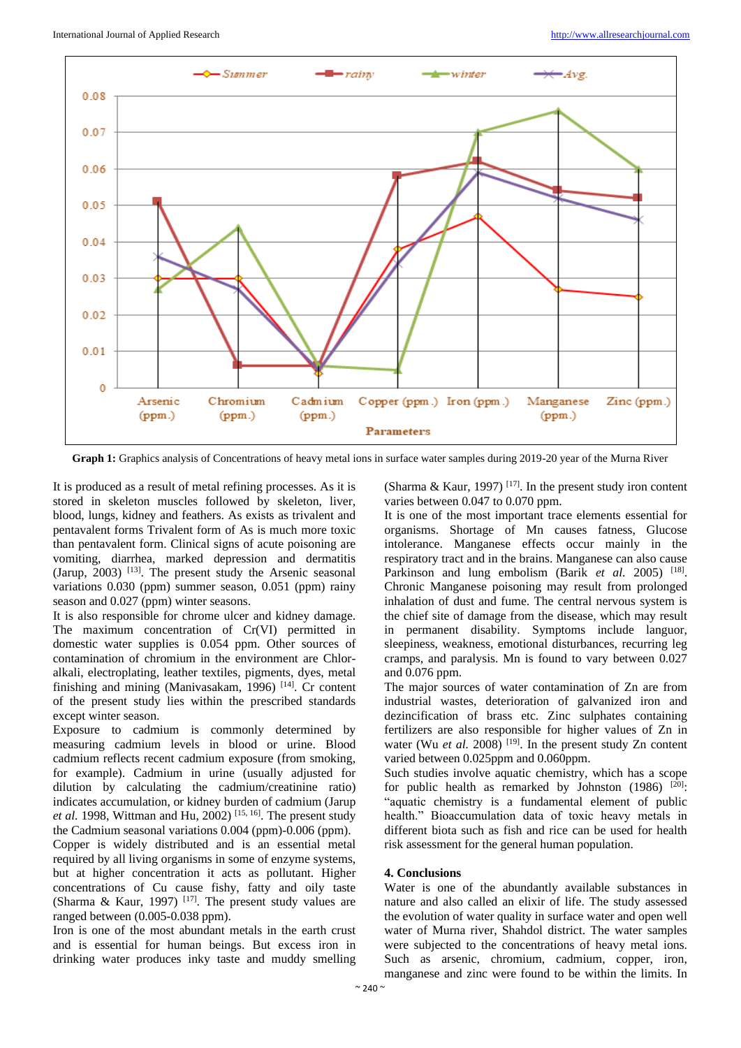

Graph 1: Graphics analysis of Concentrations of heavy metal ions in surface water samples during 2019-20 year of the Murna River

It is produced as a result of metal refining processes. As it is stored in skeleton muscles followed by skeleton, liver, blood, lungs, kidney and feathers. As exists as trivalent and pentavalent forms Trivalent form of As is much more toxic than pentavalent form. Clinical signs of acute poisoning are vomiting, diarrhea, marked depression and dermatitis (Jarup,  $2003$ ) <sup>[13]</sup>. The present study the Arsenic seasonal variations 0.030 (ppm) summer season, 0.051 (ppm) rainy season and 0.027 (ppm) winter seasons.

It is also responsible for chrome ulcer and kidney damage. The maximum concentration of Cr(VI) permitted in domestic water supplies is 0.054 ppm. Other sources of contamination of chromium in the environment are Chloralkali, electroplating, leather textiles, pigments, dyes, metal finishing and mining (Manivasakam, 1996)<sup>[14]</sup>. Cr content of the present study lies within the prescribed standards except winter season.

Exposure to cadmium is commonly determined by measuring cadmium levels in blood or urine. Blood cadmium reflects recent cadmium exposure (from smoking, for example). Cadmium in urine (usually adjusted for dilution by calculating the cadmium/creatinine ratio) indicates accumulation, or kidney burden of cadmium (Jarup *et al.* 1998, Wittman and Hu, 2002) [15, 16] . The present study the Cadmium seasonal variations 0.004 (ppm)-0.006 (ppm). Copper is widely distributed and is an essential metal required by all living organisms in some of enzyme systems, but at higher concentration it acts as pollutant. Higher concentrations of Cu cause fishy, fatty and oily taste (Sharma & Kaur, 1997)<sup>[17]</sup>. The present study values are ranged between (0.005-0.038 ppm).

Iron is one of the most abundant metals in the earth crust and is essential for human beings. But excess iron in drinking water produces inky taste and muddy smelling (Sharma & Kaur, 1997)<sup>[17]</sup>. In the present study iron content varies between 0.047 to 0.070 ppm.

It is one of the most important trace elements essential for organisms. Shortage of Mn causes fatness, Glucose intolerance. Manganese effects occur mainly in the respiratory tract and in the brains. Manganese can also cause Parkinson and lung embolism (Barik et al. 2005) <sup>[18]</sup>. Chronic Manganese poisoning may result from prolonged inhalation of dust and fume. The central nervous system is the chief site of damage from the disease, which may result in permanent disability. Symptoms include languor, sleepiness, weakness, emotional disturbances, recurring leg cramps, and paralysis. Mn is found to vary between 0.027 and 0.076 ppm.

The major sources of water contamination of Zn are from industrial wastes, deterioration of galvanized iron and dezincification of brass etc. Zinc sulphates containing fertilizers are also responsible for higher values of Zn in water (Wu *et al.* 2008)<sup>[19]</sup>. In the present study Zn content varied between 0.025ppm and 0.060ppm.

Such studies involve aquatic chemistry, which has a scope for public health as remarked by Johnston  $(1986)$ <sup>[20]</sup>: "aquatic chemistry is a fundamental element of public health." Bioaccumulation data of toxic heavy metals in different biota such as fish and rice can be used for health risk assessment for the general human population.

#### **4. Conclusions**

Water is one of the abundantly available substances in nature and also called an elixir of life. The study assessed the evolution of water quality in surface water and open well water of Murna river, Shahdol district. The water samples were subjected to the concentrations of heavy metal ions. Such as arsenic, chromium, cadmium, copper, iron, manganese and zinc were found to be within the limits. In